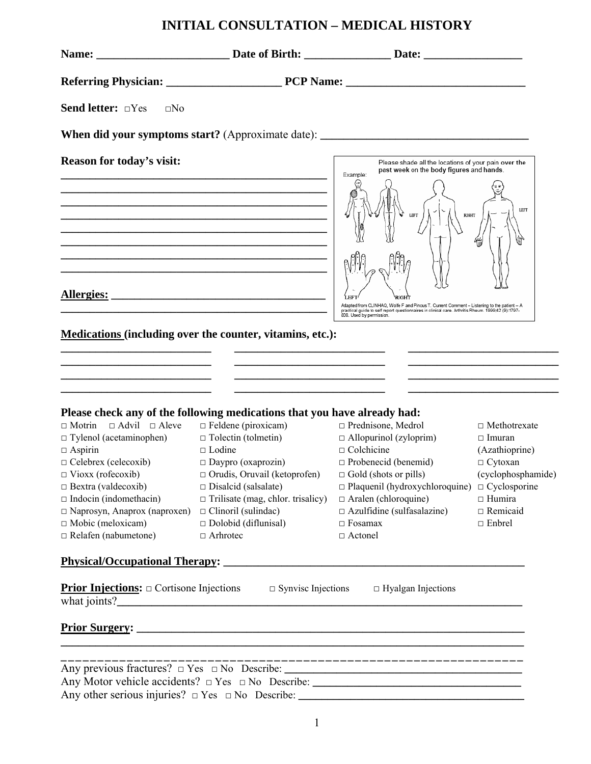# **INITIAL CONSULTATION – MEDICAL HISTORY**

| Send letter: <b>Send letter</b> : <b>Send letter</b> : <b>Send letter</b> : <b>Send 2</b> EN0                                                                                                                                                                                                                                                                                                                                                                                                                                                                                                                         |                                                                                                                                                                                                                                                                                                                                                                                                                                                                                                                |                                                                                                                                                                                                                                                                                                                                                               |                                                                                                                                                     |
|-----------------------------------------------------------------------------------------------------------------------------------------------------------------------------------------------------------------------------------------------------------------------------------------------------------------------------------------------------------------------------------------------------------------------------------------------------------------------------------------------------------------------------------------------------------------------------------------------------------------------|----------------------------------------------------------------------------------------------------------------------------------------------------------------------------------------------------------------------------------------------------------------------------------------------------------------------------------------------------------------------------------------------------------------------------------------------------------------------------------------------------------------|---------------------------------------------------------------------------------------------------------------------------------------------------------------------------------------------------------------------------------------------------------------------------------------------------------------------------------------------------------------|-----------------------------------------------------------------------------------------------------------------------------------------------------|
|                                                                                                                                                                                                                                                                                                                                                                                                                                                                                                                                                                                                                       |                                                                                                                                                                                                                                                                                                                                                                                                                                                                                                                | When did your symptoms start? (Approximate date): _______________________________                                                                                                                                                                                                                                                                             |                                                                                                                                                     |
| Reason for today's visit:                                                                                                                                                                                                                                                                                                                                                                                                                                                                                                                                                                                             | <u> 1989 - Johann Stoff, deutscher Stoff, der Stoff, der Stoff, der Stoff, der Stoff, der Stoff, der Stoff, der S</u><br><u> 1989 - Johann Barbara, margaret eta idazlearia (h. 1989).</u><br>the control of the control of the control of the control of the control of the control of the control of the control of the control of the control of the control of the control of the control of the control of the control<br><u> 1989 - Johann John Stein, mars an deus Amerikaansk kommunister (* 1950)</u> | Please shade all the locations of your pain over the<br>past week on the body figures and hands.<br>Example:<br>RIGHT<br>LEFT<br>Adapted from CLINHAQ, Wolfe F and Pincus T. Current Comment – Listening to the patient – A<br>practical guide to self report questionnaires in clinical care. Arthritis Rheum. 1999;42 (9):1797-<br>808. Used by permission. | LEFT                                                                                                                                                |
| <b>Medications (including over the counter, vitamins, etc.):</b><br>the control of the control of the control of the control of the control of the control of<br><u> 1989 - Andrea Andrew Maria (h. 1989).</u><br>Please check any of the following medications that you have already had:<br>$\Box$ Motrin $\Box$ Advil $\Box$ Aleve<br>$\Box$ Tylenol (acetaminophen)<br>$\Box$ Aspirin<br>$\Box$ Celebrex (celecoxib)<br>$\Box$ Vioxx (rofecoxib)<br>$\Box$ Bextra (valdecoxib)<br>$\Box$ Indocin (indomethacin)<br>$\Box$ Naprosyn, Anaprox (naproxen)<br>$\Box$ Mobic (meloxicam)<br>$\Box$ Relafen (nabumetone) | <u>and the second control of the second control of the second control of the second control of</u><br>$\Box$ Feldene (piroxicam)<br>$\Box$ Tolectin (tolmetin)<br>$\Box$ Lodine<br>$\Box$ Daypro (oxaprozin)<br>$\Box$ Orudis, Oruvail (ketoprofen) $\Box$ Gold (shots or pills)<br>$\Box$ Disalcid (salsalate)<br>$\Box$ Trilisate (mag, chlor. trisalicy)<br>$\Box$ Clinoril (sulindac)<br>$\Box$ Dolobid (diflunisal)<br>$\Box$ Arhrotec                                                                    | $\Box$ Prednisone, Medrol<br>$\Box$ Allopurinol (zyloprim)<br>$\Box$ Colchicine<br>$\Box$ Probenecid (benemid)<br>$\Box$ Plaquenil (hydroxychloroquine) $\Box$ Cyclosporine<br>$\Box$ Aralen (chloroquine)<br>$\Box$ Azulfidine (sulfasalazine)<br>$\Box$ Fosamax<br>$\Box$ Actonel                                                                           | $\Box$ Methotrexate<br>$\Box$ Imuran<br>(Azathioprine)<br>$\Box$ Cytoxan<br>(cyclophosphamide)<br>$\Box$ Humira<br>$\Box$ Remicaid<br>$\Box$ Enbrel |
| <b>Physical/Occupational Therapy:</b>                                                                                                                                                                                                                                                                                                                                                                                                                                                                                                                                                                                 |                                                                                                                                                                                                                                                                                                                                                                                                                                                                                                                |                                                                                                                                                                                                                                                                                                                                                               |                                                                                                                                                     |
| <b>Prior Injections:</b> $\Box$ Cortisone Injections $\Box$ Synvisc Injections $\Box$ Hyalgan Injections                                                                                                                                                                                                                                                                                                                                                                                                                                                                                                              |                                                                                                                                                                                                                                                                                                                                                                                                                                                                                                                |                                                                                                                                                                                                                                                                                                                                                               |                                                                                                                                                     |
|                                                                                                                                                                                                                                                                                                                                                                                                                                                                                                                                                                                                                       |                                                                                                                                                                                                                                                                                                                                                                                                                                                                                                                | <u>Prior Surgery:</u>                                                                                                                                                                                                                                                                                                                                         |                                                                                                                                                     |
|                                                                                                                                                                                                                                                                                                                                                                                                                                                                                                                                                                                                                       |                                                                                                                                                                                                                                                                                                                                                                                                                                                                                                                |                                                                                                                                                                                                                                                                                                                                                               |                                                                                                                                                     |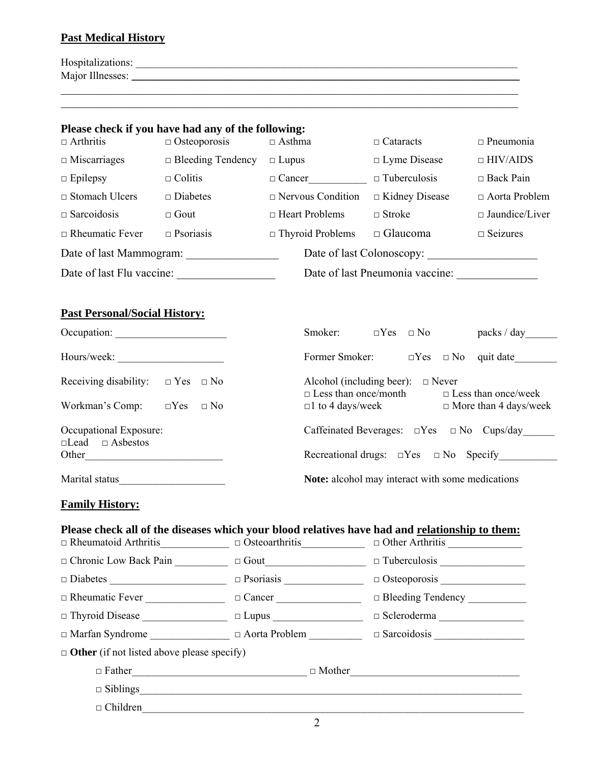## **Past Medical History**

| Hospitalizations:  |  |
|--------------------|--|
| Major Illnesses: _ |  |
|                    |  |

 $\mathcal{L}_\mathcal{L} = \{ \mathcal{L}_\mathcal{L} = \{ \mathcal{L}_\mathcal{L} = \{ \mathcal{L}_\mathcal{L} = \{ \mathcal{L}_\mathcal{L} = \{ \mathcal{L}_\mathcal{L} = \{ \mathcal{L}_\mathcal{L} = \{ \mathcal{L}_\mathcal{L} = \{ \mathcal{L}_\mathcal{L} = \{ \mathcal{L}_\mathcal{L} = \{ \mathcal{L}_\mathcal{L} = \{ \mathcal{L}_\mathcal{L} = \{ \mathcal{L}_\mathcal{L} = \{ \mathcal{L}_\mathcal{L} = \{ \mathcal{L}_\mathcal{$ 

| $\Box$ Arthritis                                                            | Please check if you have had any of the following:<br>$\Box$ Osteoporosis | $\Box$ Asthma                                                                                                                                                                                   | $\Box$ Cataracts                                     | $\Box$ Pneumonia               |  |
|-----------------------------------------------------------------------------|---------------------------------------------------------------------------|-------------------------------------------------------------------------------------------------------------------------------------------------------------------------------------------------|------------------------------------------------------|--------------------------------|--|
| $\Box$ Miscarriages                                                         | $\Box$ Bleeding Tendency                                                  | $\Box$ Lupus                                                                                                                                                                                    | $\Box$ Lyme Disease                                  | $\Box$ HIV/AIDS                |  |
| $\Box$ Epilepsy                                                             | $\Box$ Colitis                                                            | $\Box$ Cancer                                                                                                                                                                                   | $\Box$ Tuberculosis                                  | $\Box$ Back Pain               |  |
| $\Box$ Stomach Ulcers $\Box$ Diabetes                                       |                                                                           | $\Box$ Nervous Condition                                                                                                                                                                        | $\Box$ Kidney Disease                                | □ Aorta Problem                |  |
| $\Box$ Sarcoidosis                                                          | $\Box$ Gout                                                               | $\Box$ Heart Problems                                                                                                                                                                           | $\Box$ Stroke                                        | $\square$ Jaundice/Liver       |  |
| $\Box$ Rheumatic Fever                                                      | $\Box$ Psoriasis                                                          | $\Box$ Thyroid Problems                                                                                                                                                                         | $\Box$ Glaucoma                                      | $\Box$ Seizures                |  |
|                                                                             |                                                                           |                                                                                                                                                                                                 |                                                      |                                |  |
|                                                                             |                                                                           |                                                                                                                                                                                                 |                                                      |                                |  |
| <b>Past Personal/Social History:</b>                                        |                                                                           |                                                                                                                                                                                                 |                                                      |                                |  |
|                                                                             |                                                                           |                                                                                                                                                                                                 | Smoker: $\square Yes \square No$ packs / day         |                                |  |
|                                                                             |                                                                           | Former Smoker:                                                                                                                                                                                  |                                                      | $\Box$ Yes $\Box$ No quit date |  |
| Receiving disability: $\Box$ Yes $\Box$ No<br>Workman's Comp: $\square$ Yes | $\Box$ No                                                                 | Alcohol (including beer): $\Box$ Never<br>$\Box$ Less than once/month<br>$\square$ Less than once/week<br>$\Box$ to 4 days/week<br>$\Box$ More than 4 days/week                                 |                                                      |                                |  |
| Occupational Exposure:<br>$\Box$ Lead $\Box$ Asbestos                       |                                                                           | Caffeinated Beverages: $\square Yes \square No \text{ Cups/day}$<br>Recreational drugs: $\Box$ Yes $\Box$ No Specify                                                                            |                                                      |                                |  |
|                                                                             |                                                                           |                                                                                                                                                                                                 | Note: alcohol may interact with some medications     |                                |  |
| <b>Family History:</b>                                                      |                                                                           |                                                                                                                                                                                                 |                                                      |                                |  |
|                                                                             |                                                                           | Please check all of the diseases which your blood relatives have had and relationship to them:<br>$\Box$ Rheumatoid Arthritis $\Box$ $\Box$ Osteoarthritis $\Box$ $\Box$ Other Arthritis $\Box$ |                                                      |                                |  |
| O Chronic Low Back Pain                                                     |                                                                           | $\hfill\Box$<br>$\hfill\Box$                                                                                                                                                                    |                                                      |                                |  |
|                                                                             |                                                                           |                                                                                                                                                                                                 |                                                      |                                |  |
| Rheumatic Fever                                                             |                                                                           | $\Box$ Cancer                                                                                                                                                                                   |                                                      |                                |  |
|                                                                             |                                                                           |                                                                                                                                                                                                 | $\Box \text{ Scleroderna } \underline{\hspace{2cm}}$ |                                |  |
| □ Marfan Syndrome                                                           |                                                                           | Aorta Problem                                                                                                                                                                                   | $\Box$ Sarcoidosis                                   |                                |  |

□ **Other** (if not listed above please specify)

 $\Box$  Father  $\Box$  Mother

 $\Box$  Siblings

 $\Box$  Children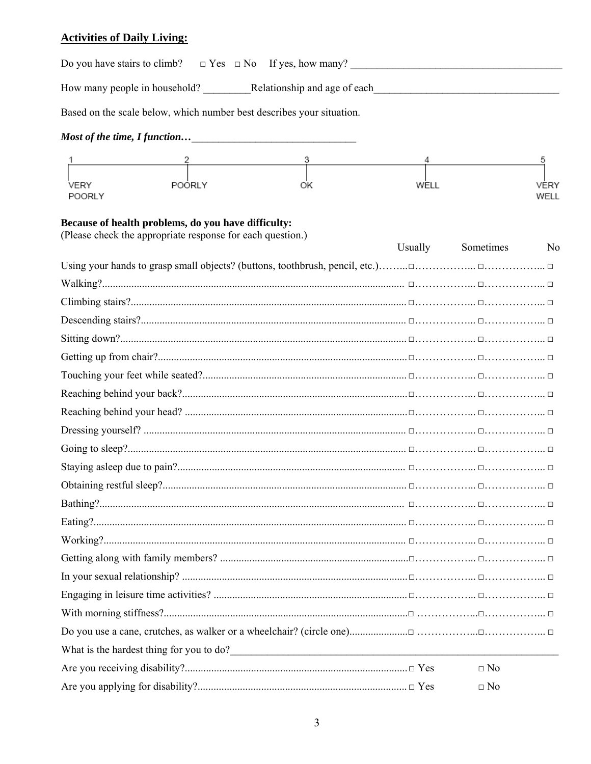| <b>Activities of Daily Living:</b> |  |
|------------------------------------|--|
|------------------------------------|--|

| Based on the scale below, which number best describes your situation.                                             |         |           |                   |
|-------------------------------------------------------------------------------------------------------------------|---------|-----------|-------------------|
|                                                                                                                   |         |           |                   |
| $\frac{2}{3}$<br>POORLY<br>VERY<br>OK<br><b>POORLY</b>                                                            | WELL    |           | 5<br>VERY<br>WELL |
| Because of health problems, do you have difficulty:<br>(Please check the appropriate response for each question.) | Usually | Sometimes | N <sub>0</sub>    |
|                                                                                                                   |         |           |                   |
|                                                                                                                   |         |           |                   |
|                                                                                                                   |         |           |                   |
|                                                                                                                   |         |           |                   |
|                                                                                                                   |         |           |                   |
|                                                                                                                   |         |           |                   |
|                                                                                                                   |         |           |                   |
|                                                                                                                   |         |           |                   |
|                                                                                                                   |         |           |                   |
|                                                                                                                   |         |           |                   |
|                                                                                                                   |         |           |                   |
|                                                                                                                   |         |           |                   |
|                                                                                                                   |         |           |                   |
|                                                                                                                   |         |           |                   |
|                                                                                                                   |         |           |                   |
|                                                                                                                   |         |           |                   |
|                                                                                                                   |         |           |                   |
|                                                                                                                   |         |           |                   |
|                                                                                                                   |         |           |                   |
|                                                                                                                   |         |           |                   |
|                                                                                                                   |         |           |                   |
|                                                                                                                   |         |           |                   |
|                                                                                                                   |         | $\Box$ No |                   |
|                                                                                                                   |         | $\Box$ No |                   |